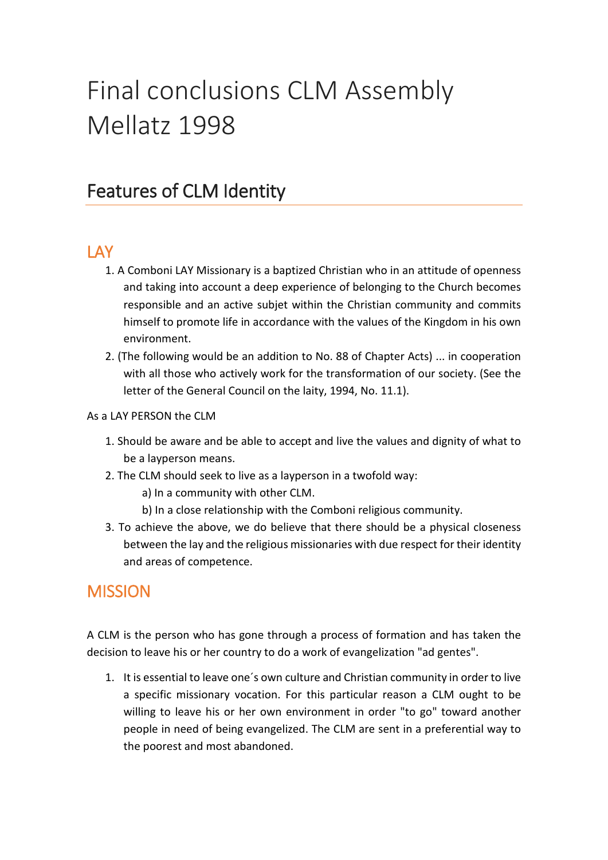# Final conclusions CLM Assembly Mellatz 1998

### Features of CLM Identity

#### **LAY**

- 1. A Comboni LAY Missionary is a baptized Christian who in an attitude of openness and taking into account a deep experience of belonging to the Church becomes responsible and an active subjet within the Christian community and commits himself to promote life in accordance with the values of the Kingdom in his own environment.
- 2. (The following would be an addition to No. 88 of Chapter Acts) ... in cooperation with all those who actively work for the transformation of our society. (See the letter of the General Council on the laity, 1994, No. 11.1).

#### As a LAY PERSON the CLM

- 1. Should be aware and be able to accept and live the values and dignity of what to be a layperson means.
- 2. The CLM should seek to live as a layperson in a twofold way:
	- a) In a community with other CLM.
	- b) In a close relationship with the Comboni religious community.
- 3. To achieve the above, we do believe that there should be a physical closeness between the lay and the religious missionaries with due respect for their identity and areas of competence.

#### **MISSION**

A CLM is the person who has gone through a process of formation and has taken the decision to leave his or her country to do a work of evangelization "ad gentes".

1. It is essential to leave one´s own culture and Christian community in order to live a specific missionary vocation. For this particular reason a CLM ought to be willing to leave his or her own environment in order "to go" toward another people in need of being evangelized. The CLM are sent in a preferential way to the poorest and most abandoned.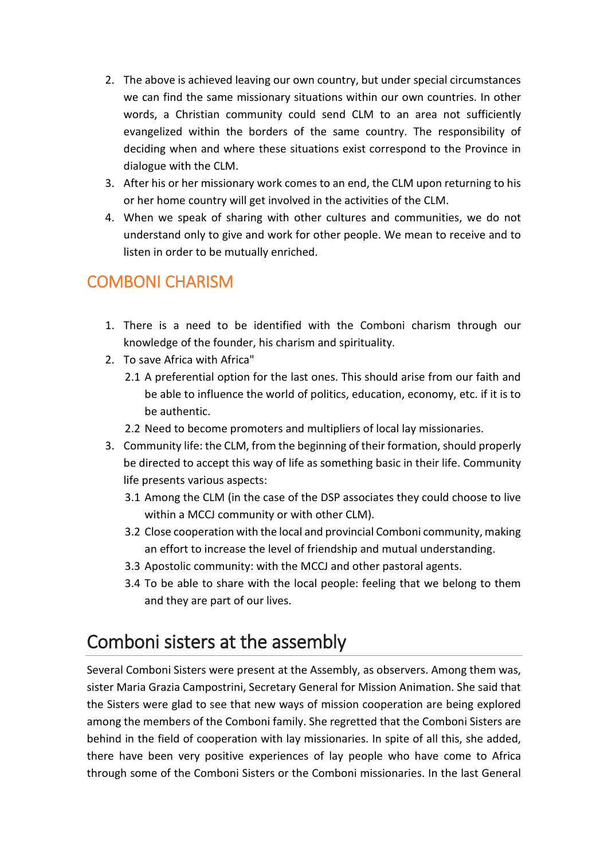- 2. The above is achieved leaving our own country, but under special circumstances we can find the same missionary situations within our own countries. In other words, a Christian community could send CLM to an area not sufficiently evangelized within the borders of the same country. The responsibility of deciding when and where these situations exist correspond to the Province in dialogue with the CLM.
- 3. After his or her missionary work comes to an end, the CLM upon returning to his or her home country will get involved in the activities of the CLM.
- 4. When we speak of sharing with other cultures and communities, we do not understand only to give and work for other people. We mean to receive and to listen in order to be mutually enriched.

### COMBONI CHARISM

- 1. There is a need to be identified with the Comboni charism through our knowledge of the founder, his charism and spirituality.
- 2. To save Africa with Africa"
	- 2.1 A preferential option for the last ones. This should arise from our faith and be able to influence the world of politics, education, economy, etc. if it is to be authentic.
	- 2.2 Need to become promoters and multipliers of local lay missionaries.
- 3. Community life: the CLM, from the beginning of their formation, should properly be directed to accept this way of life as something basic in their life. Community life presents various aspects:
	- 3.1 Among the CLM (in the case of the DSP associates they could choose to live within a MCCJ community or with other CLM).
	- 3.2 Close cooperation with the local and provincial Comboni community, making an effort to increase the level of friendship and mutual understanding.
	- 3.3 Apostolic community: with the MCCJ and other pastoral agents.
	- 3.4 To be able to share with the local people: feeling that we belong to them and they are part of our lives.

### Comboni sisters at the assembly

Several Comboni Sisters were present at the Assembly, as observers. Among them was, sister Maria Grazia Campostrini, Secretary General for Mission Animation. She said that the Sisters were glad to see that new ways of mission cooperation are being explored among the members of the Comboni family. She regretted that the Comboni Sisters are behind in the field of cooperation with lay missionaries. In spite of all this, she added, there have been very positive experiences of lay people who have come to Africa through some of the Comboni Sisters or the Comboni missionaries. In the last General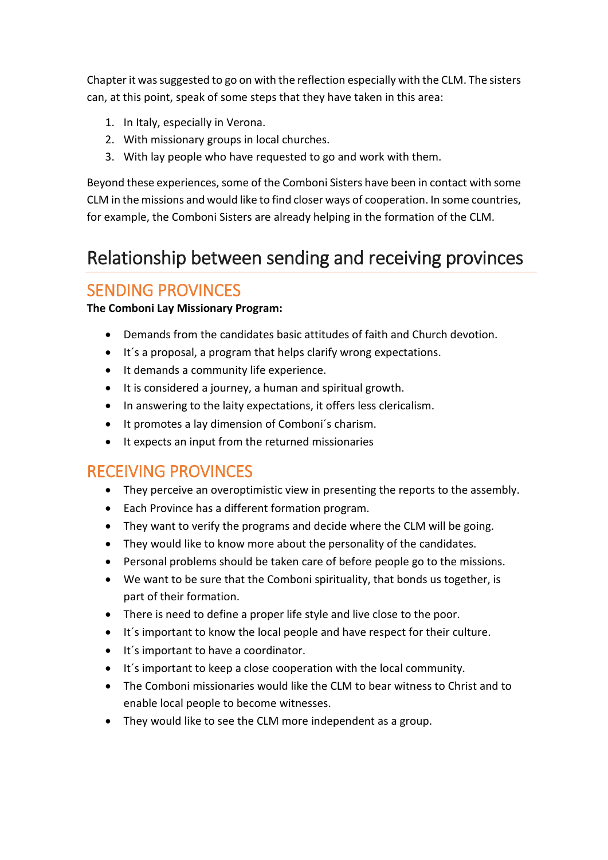Chapter it was suggested to go on with the reflection especially with the CLM. The sisters can, at this point, speak of some steps that they have taken in this area:

- 1. In Italy, especially in Verona.
- 2. With missionary groups in local churches.
- 3. With lay people who have requested to go and work with them.

Beyond these experiences, some of the Comboni Sisters have been in contact with some CLM in the missions and would like to find closer ways of cooperation. In some countries, for example, the Comboni Sisters are already helping in the formation of the CLM.

### Relationship between sending and receiving provinces

#### SENDING PROVINCES

#### **The Comboni Lay Missionary Program:**

- Demands from the candidates basic attitudes of faith and Church devotion.
- It´s a proposal, a program that helps clarify wrong expectations.
- It demands a community life experience.
- It is considered a journey, a human and spiritual growth.
- In answering to the laity expectations, it offers less clericalism.
- It promotes a lay dimension of Comboni´s charism.
- It expects an input from the returned missionaries

#### RECEIVING PROVINCES

- They perceive an overoptimistic view in presenting the reports to the assembly.
- Each Province has a different formation program.
- They want to verify the programs and decide where the CLM will be going.
- They would like to know more about the personality of the candidates.
- Personal problems should be taken care of before people go to the missions.
- We want to be sure that the Comboni spirituality, that bonds us together, is part of their formation.
- There is need to define a proper life style and live close to the poor.
- It´s important to know the local people and have respect for their culture.
- It´s important to have a coordinator.
- It´s important to keep a close cooperation with the local community.
- The Comboni missionaries would like the CLM to bear witness to Christ and to enable local people to become witnesses.
- They would like to see the CLM more independent as a group.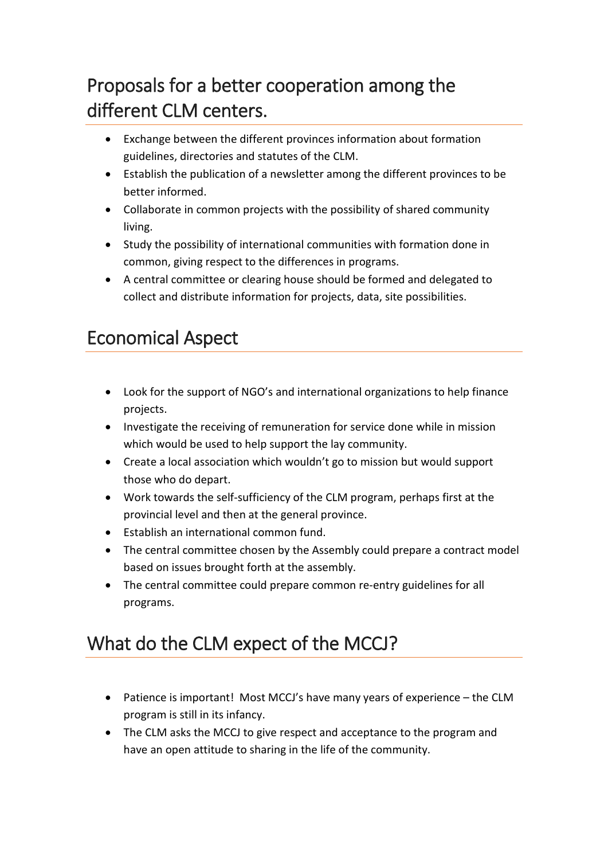## Proposals for a better cooperation among the different CLM centers.

- Exchange between the different provinces information about formation guidelines, directories and statutes of the CLM.
- Establish the publication of a newsletter among the different provinces to be better informed.
- Collaborate in common projects with the possibility of shared community living.
- Study the possibility of international communities with formation done in common, giving respect to the differences in programs.
- A central committee or clearing house should be formed and delegated to collect and distribute information for projects, data, site possibilities.

## Economical Aspect

- Look for the support of NGO's and international organizations to help finance projects.
- Investigate the receiving of remuneration for service done while in mission which would be used to help support the lay community.
- Create a local association which wouldn't go to mission but would support those who do depart.
- Work towards the self-sufficiency of the CLM program, perhaps first at the provincial level and then at the general province.
- Establish an international common fund.
- The central committee chosen by the Assembly could prepare a contract model based on issues brought forth at the assembly.
- The central committee could prepare common re-entry guidelines for all programs.

### What do the CLM expect of the MCCJ?

- Patience is important! Most MCCJ's have many years of experience the CLM program is still in its infancy.
- The CLM asks the MCCJ to give respect and acceptance to the program and have an open attitude to sharing in the life of the community.